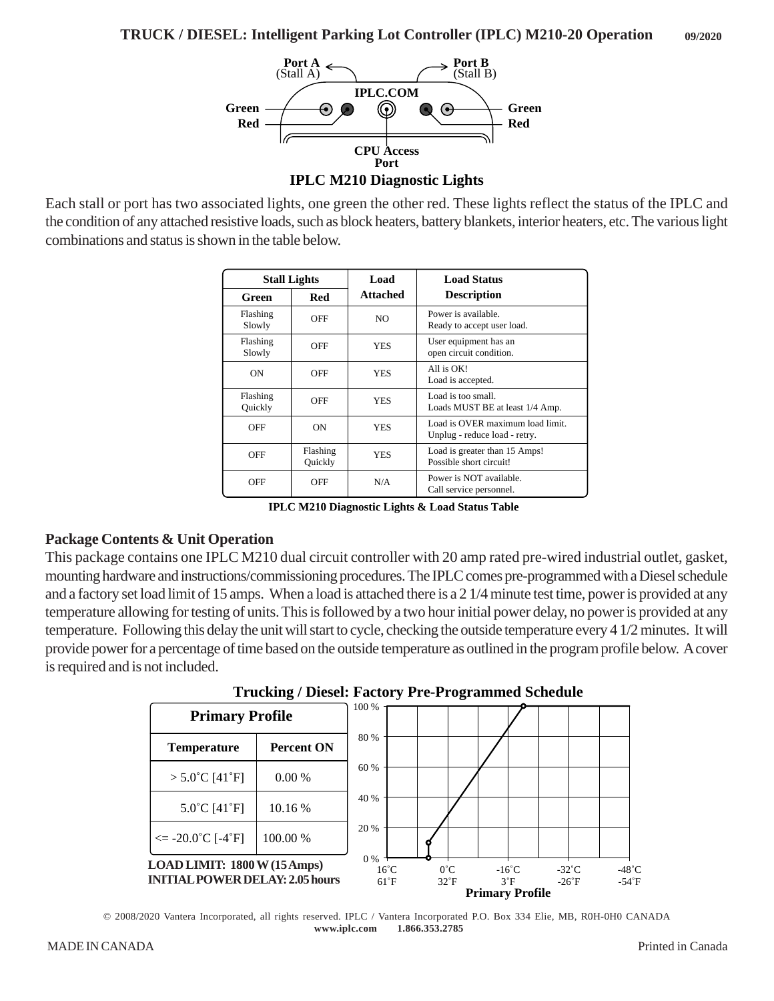

Each stall or port has two associated lights, one green the other red. These lights reflect the status of the IPLC and the condition of any attached resistive loads, such as block heaters, battery blankets, interior heaters, etc. The various light combinations and status is shown in the table below.

| <b>Stall Lights</b> |                     | Load            | <b>Load Status</b>                                                |
|---------------------|---------------------|-----------------|-------------------------------------------------------------------|
| Green               | Red                 | <b>Attached</b> | <b>Description</b>                                                |
| Flashing<br>Slowly  | OFF                 | N <sub>O</sub>  | Power is available.<br>Ready to accept user load.                 |
| Flashing<br>Slowly  | OFF                 | <b>YES</b>      | User equipment has an<br>open circuit condition.                  |
| <b>ON</b>           | OFF                 | <b>YES</b>      | All is OK!<br>Load is accepted.                                   |
| Flashing<br>Quickly | OFF                 | <b>YES</b>      | Load is too small.<br>Loads MUST BE at least 1/4 Amp.             |
| OFF                 | ON                  | <b>YES</b>      | Load is OVER maximum load limit.<br>Unplug - reduce load - retry. |
| OFF                 | Flashing<br>Quickly | <b>YES</b>      | Load is greater than 15 Amps!<br>Possible short circuit!          |
| OFF                 | OFF                 | N/A             | Power is NOT available.<br>Call service personnel.                |

**IPLC M210 Diagnostic Lights & Load Status Table**

## **Package Contents & Unit Operation**

This package contains one IPLC M210 dual circuit controller with 20 amp rated pre-wired industrial outlet, gasket, mounting hardware and instructions/commissioning procedures. The IPLC comes pre-programmed with a Diesel schedule and a factory set load limit of 15 amps. When a load is attached there is a 2 1/4 minute test time, power is provided at any temperature allowing for testing of units. This is followed by a two hour initial power delay, no power is provided at any temperature. Following this delay the unit will start to cycle, checking the outside temperature every 4 1/2 minutes. It will provide power for a percentage of time based on the outside temperature as outlined in the program profile below. A cover is required and is not included.





© 2008/2020 Vantera Incorporated, all rights reserved. IPLC / Vantera Incorporated P.O. Box 334 Elie, MB, R0H-0H0 CANADA  **www.iplc.com 1.866.353.2785**